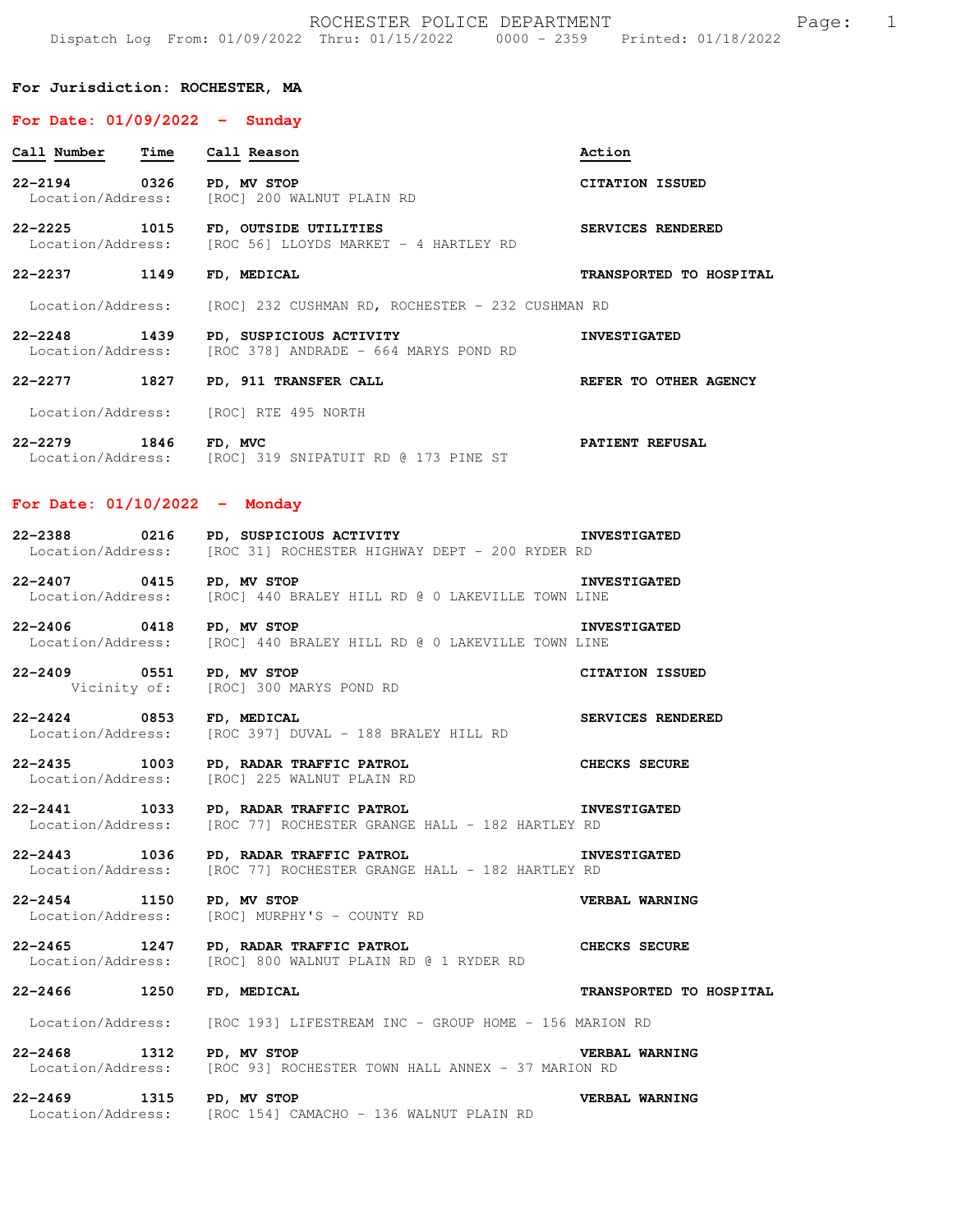ROCHESTER POLICE DEPARTMENT Page: 1 Dispatch Log From: 01/09/2022 Thru: 01/15/2022 0000 - 2359 Printed: 01/18/2022

#### **For Jurisdiction: ROCHESTER, MA**

### **For Date: 01/09/2022 - Sunday**

| Call Number                       | Time Call Reason                                                                                | Action                  |
|-----------------------------------|-------------------------------------------------------------------------------------------------|-------------------------|
| 22-2194 0326                      | PD, MV STOP<br>Location/Address: [ROC] 200 WALNUT PLAIN RD                                      | <b>CITATION ISSUED</b>  |
| 22-2225 1015                      | FD, OUTSIDE UTILITIES<br>Location/Address: [ROC 56] LLOYDS MARKET - 4 HARTLEY RD                | SERVICES RENDERED       |
| 22–2237 1149                      | FD, MEDICAL                                                                                     | TRANSPORTED TO HOSPITAL |
|                                   | Location/Address: [ROC] 232 CUSHMAN RD, ROCHESTER - 232 CUSHMAN RD                              |                         |
|                                   | 22-2248 1439 PD, SUSPICIOUS ACTIVITY<br>Location/Address: [ROC 378] ANDRADE - 664 MARYS POND RD | <b>INVESTIGATED</b>     |
| 22–2277 1827                      | PD, 911 TRANSFER CALL                                                                           | REFER TO OTHER AGENCY   |
|                                   | Location/Address: [ROC] RTE 495 NORTH                                                           |                         |
| 22-2279 1846<br>Location/Address: | FD, MVC<br>[ROC] 319 SNIPATUIT RD @ 173 PINE ST                                                 | PATIENT REFUSAL         |

## **For Date: 01/10/2022 - Monday**

| 22-2388           | 0216 | PD, SUSPICIOUS ACTIVITY                        |  |  | <b>INVESTIGATED</b> |
|-------------------|------|------------------------------------------------|--|--|---------------------|
| Location/Address: |      | [ROC 31] ROCHESTER HIGHWAY DEPT - 200 RYDER RD |  |  |                     |

**22-2407 0415 PD, MV STOP INVESTIGATED**  Location/Address: [ROC] 440 BRALEY HILL RD @ 0 LAKEVILLE TOWN LINE

**22-2406 0418 PD, MV STOP INVESTIGATED**  Location/Address: [ROC] 440 BRALEY HILL RD @ 0 LAKEVILLE TOWN LINE

**22-2409 0551 PD, MV STOP CITATION ISSUED**<br>Vicinity of: [ROC] 300 MARYS POND RD [ROC] 300 MARYS POND RD

**22-2424 0853 FD, MEDICAL SERVICES RENDERED**  Location/Address: [ROC 397] DUVAL - 188 BRALEY HILL RD

**22-2435 1003 PD, RADAR TRAFFIC PATROL CHECKS SECURE**  [ROC] 225 WALNUT PLAIN RD

**22-2441 1033 PD, RADAR TRAFFIC PATROL INVESTIGATED**<br>Location/Address: [ROC 77] ROCHESTER GRANGE HALL - 182 HARTLEY RD [ROC 77] ROCHESTER GRANGE HALL - 182 HARTLEY RD

**22-2443 1036 PD, RADAR TRAFFIC PATROL INVESTIGATED**<br>Location/Address: [ROC 77] ROCHESTER GRANGE HALL - 182 HARTLEY RD [ROC 77] ROCHESTER GRANGE HALL - 182 HARTLEY RD

**22-2454 1150 PD, MV STOP VERBAL WARNING**  [ROC] MURPHY'S - COUNTY RD

**22-2465 1247 PD, RADAR TRAFFIC PATROL CHECKS SECURE**  Location/Address: [ROC] 800 WALNUT PLAIN RD @ 1 RYDER RD

**22-2466 1250 FD, MEDICAL TRANSPORTED TO HOSPITAL** 

Location/Address: [ROC 193] LIFESTREAM INC - GROUP HOME - 156 MARION RD

**22-2468 1312 PD, MV STOP VERBAL WARNING**<br>Location/Address: [ROC 93] ROCHESTER TOWN HALL ANNEX - 37 MARION RD [ROC 93] ROCHESTER TOWN HALL ANNEX - 37 MARION RD

**22-2469 1315 PD, MV STOP VERBAL WARNING**  Location/Address: [ROC 154] CAMACHO - 136 WALNUT PLAIN RD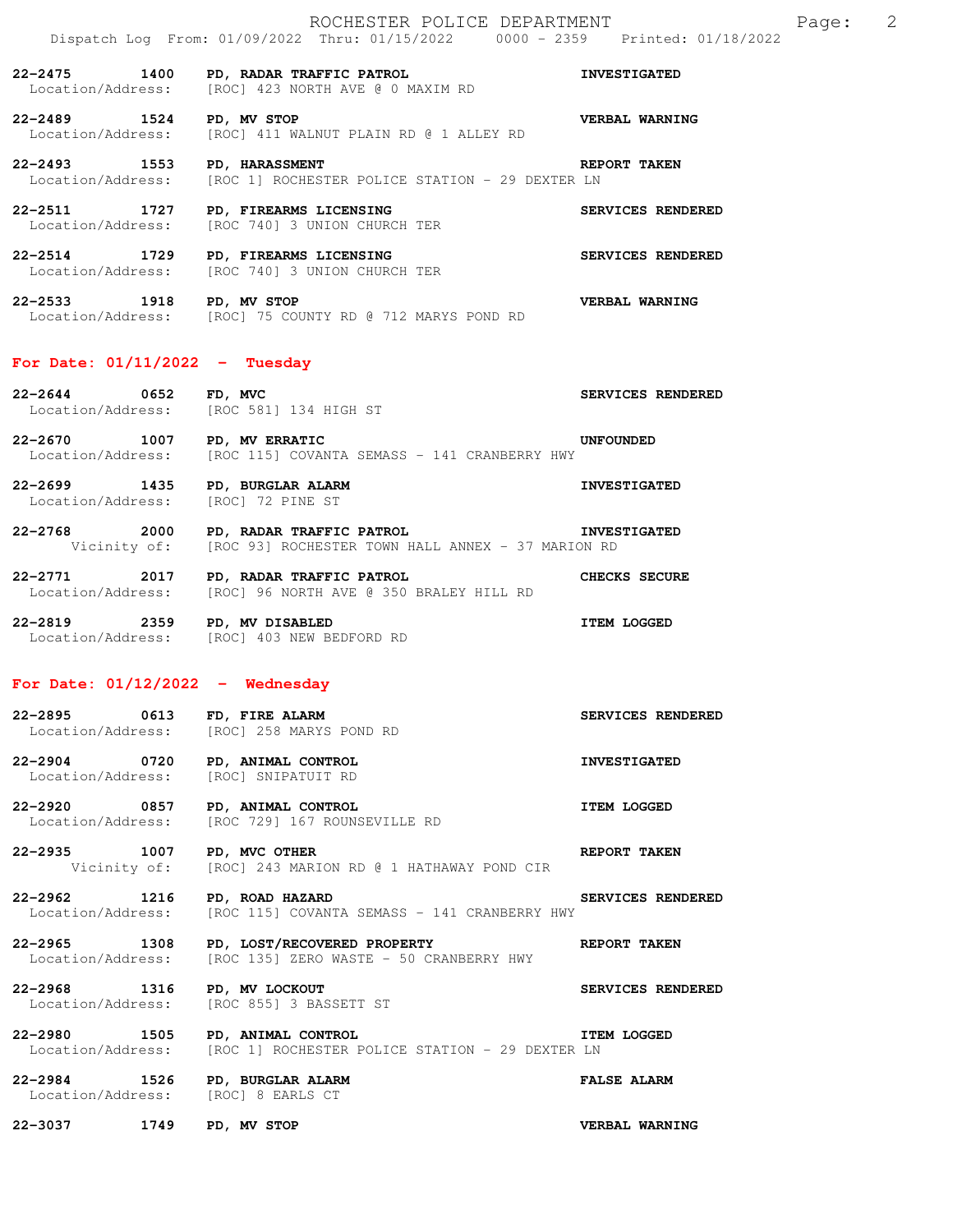**22-2475 1400 PD, RADAR TRAFFIC PATROL INVESTIGATED**  Location/Address: [ROC] 423 NORTH AVE @ 0 MAXIM RD

**22-2489 1524 PD, MV STOP VERBAL WARNING**  Location/Address: [ROC] 411 WALNUT PLAIN RD @ 1 ALLEY RD

**22-2493 1553 PD, HARASSMENT REPORT TAKEN**  Location/Address: [ROC 1] ROCHESTER POLICE STATION - 29 DEXTER LN

**22-2511 1727 PD, FIREARMS LICENSING SERVICES RENDERED**  Location/Address: [ROC 740] 3 UNION CHURCH TER

**22-2514 1729 PD, FIREARMS LICENSING SERVICES RENDERED**  Location/Address: [ROC 740] 3 UNION CHURCH TER

**22-2533 1918 PD, MV STOP VERBAL WARNING**  Location/Address: [ROC] 75 COUNTY RD @ 712 MARYS POND RD

# **For Date: 01/11/2022 - Tuesday**

| $22 - 2644$       | 0652 | FD, MVC               | SERVICES RENDERED |  |
|-------------------|------|-----------------------|-------------------|--|
| Location/Address: |      | [ROC 581] 134 HIGH ST |                   |  |
|                   |      |                       |                   |  |

**22-2670 1007 PD, MV ERRATIC UNFOUNDED**  Location/Address: [ROC 115] COVANTA SEMASS - 141 CRANBERRY HWY

**22-2699 1435 PD, BURGLAR ALARM INVESTIGATED**  Location/Address: [ROC] 72 PINE ST

**22-2768 2000 PD, RADAR TRAFFIC PATROL INVESTIGATED**  Vicinity of: [ROC 93] ROCHESTER TOWN HALL ANNEX - 37 MARION RD

**22-2771 2017 PD, RADAR TRAFFIC PATROL CHECKS SECURE**  Location/Address: [ROC] 96 NORTH AVE @ 350 BRALEY HILL RD

**22-2819 2359 PD, MV DISABLED 12359 22-2819 ITEM LOGGED** Location/Address: [ROC] 403 NEW BEDFORD RD

# **For Date: 01/12/2022 - Wednesday**

# **22-2895 0613 FD, FIRE ALARM SERVICES RENDERED**  Location/Address: [ROC] 258 MARYS POND RD

**22-2904 0720 PD, ANIMAL CONTROL INVESTIGATED**  Location/Address: [ROC] SNIPATUIT RD

**22-2920 0857 PD, ANIMAL CONTROL CONTROL ITEM LOGGED** Location/Address: [ROC 729] 167 ROUNSEVILLE RD [ROC 729] 167 ROUNSEVILLE RD

**22-2935 1007 PD, MVC OTHER REPORT TAKEN**  Vicinity of: [ROC] 243 MARION RD @ 1 HATHAWAY POND CIR

**22-2962 1216 PD, ROAD HAZARD SERVICES RENDERED**<br>Location/Address: [ROC 115] COVANTA SEMASS - 141 CRANBERRY HWY [ROC 115] COVANTA SEMASS - 141 CRANBERRY HWY

**22-2965 1308 PD, LOST/RECOVERED PROPERTY REPORT TAKEN**<br>Location/Address: [ROC 135] ZERO WASTE - 50 CRANBERRY HWY [ROC 135] ZERO WASTE - 50 CRANBERRY HWY

**22-2968 1316 PD, MV LOCKOUT** SERVICES RENDERED Location/Address: [ROC 855] 3 BASSETT ST [ROC 855] 3 BASSETT ST

**22-2980 1505 PD, ANIMAL CONTROL ITEM LOGGED**  Location/Address: [ROC 1] ROCHESTER POLICE STATION - 29 DEXTER LN

**22-2984 1526 PD, BURGLAR ALARM FALSE ALARM**  Location/Address: [ROC] 8 EARLS CT

**22-3037 1749 PD, MV STOP VERBAL WARNING**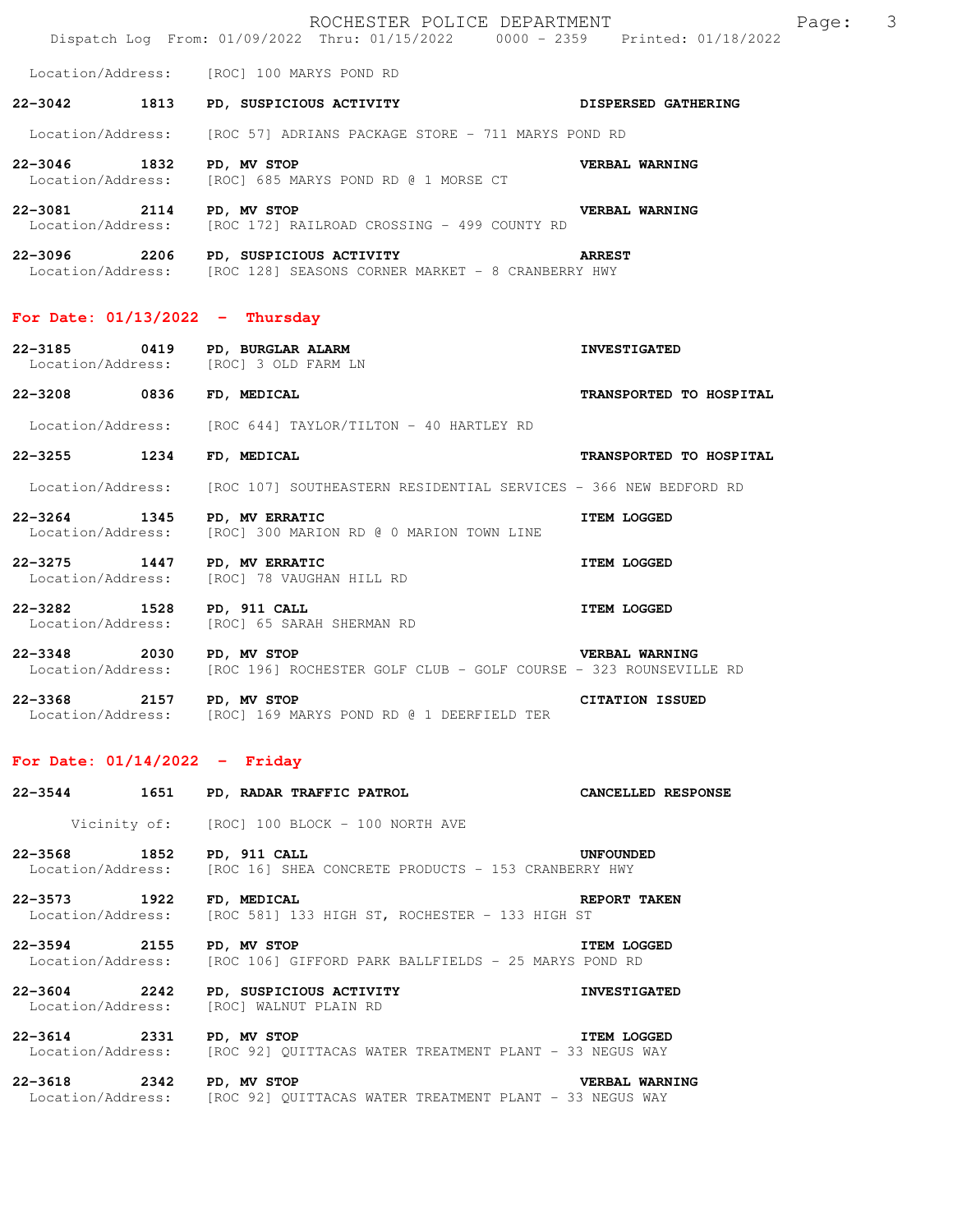|                                   |      | ROCHESTER POLICE DEPARTMENT<br>Dispatch Log From: 01/09/2022 Thru: 01/15/2022 0000 - 2359 Printed: 01/18/2022      | $\overline{\mathbf{3}}$<br>Page: |
|-----------------------------------|------|--------------------------------------------------------------------------------------------------------------------|----------------------------------|
|                                   |      | Location/Address: [ROC] 100 MARYS POND RD                                                                          |                                  |
| 22-3042 1813                      |      | PD, SUSPICIOUS ACTIVITY DISPERSED GATHERING                                                                        |                                  |
|                                   |      | Location/Address: [ROC 57] ADRIANS PACKAGE STORE - 711 MARYS POND RD                                               |                                  |
| 22-3046 1832                      |      | PD, MV STOP<br>Location/Address: [ROC] 685 MARYS POND RD @ 1 MORSE CT                                              | VERBAL WARNING                   |
| 22-3081 2114 PD, MV STOP          |      | Location/Address: [ROC 172] RAILROAD CROSSING - 499 COUNTY RD                                                      | <b>VERBAL WARNING</b>            |
|                                   |      | 22-3096 2206 PD, SUSPICIOUS ACTIVITY ARREST<br>Location/Address: [ROC 128] SEASONS CORNER MARKET - 8 CRANBERRY HWY |                                  |
| For Date: $01/13/2022 - Thursday$ |      |                                                                                                                    |                                  |
| 22-3185 0419                      |      | PD, BURGLAR ALARM<br>Location/Address: [ROC] 3 OLD FARM LN                                                         | <b>INVESTIGATED</b>              |
| 22-3208 0836                      |      | FD, MEDICAL                                                                                                        | TRANSPORTED TO HOSPITAL          |
|                                   |      | Location/Address: [ROC 644] TAYLOR/TILTON - 40 HARTLEY RD                                                          |                                  |
| 22-3255 1234                      |      | FD, MEDICAL                                                                                                        | TRANSPORTED TO HOSPITAL          |
|                                   |      | Location/Address: [ROC 107] SOUTHEASTERN RESIDENTIAL SERVICES - 366 NEW BEDFORD RD                                 |                                  |
| 22-3264 1345<br>Location/Address: |      | PD, MV ERRATIC<br>[ROC] 300 MARION RD @ 0 MARION TOWN LINE                                                         | <b>ITEM LOGGED</b>               |
| 22-3275 1447                      |      | PD, MV ERRATIC<br>Location/Address: [ROC] 78 VAUGHAN HILL RD                                                       | <b>ITEM LOGGED</b>               |
| 22-3282 1528                      |      | PD, 911 CALL<br>Location/Address: [ROC] 65 SARAH SHERMAN RD                                                        | <b>ITEM LOGGED</b>               |
| 22-3348 2030 PD, MV STOP          |      | Location/Address: [ROC 196] ROCHESTER GOLF CLUB - GOLF COURSE - 323 ROUNSEVILLE RD                                 | <b>VERBAL WARNING</b>            |
| 22-3368                           |      | 2157 PD, MV STOP<br>Location/Address: [ROC] 169 MARYS POND RD @ 1 DEERFIELD TER                                    | CITATION ISSUED                  |
| For Date: $01/14/2022 -$ Friday   |      |                                                                                                                    |                                  |
| $22 - 3544$                       | 1651 | PD, RADAR TRAFFIC PATROL                                                                                           | CANCELLED RESPONSE               |
|                                   |      | Vicinity of: [ROC] 100 BLOCK - 100 NORTH AVE                                                                       |                                  |
| $22 - 3568$                       | 1852 | PD, 911 CALL<br>Location/Address: [ROC 16] SHEA CONCRETE PRODUCTS - 153 CRANBERRY HWY                              | <b>UNFOUNDED</b>                 |

**22-3573 1922 FD, MEDICAL REPORT TAKEN**  Location/Address: [ROC 581] 133 HIGH ST, ROCHESTER - 133 HIGH ST

**22-3594 2155 PD, MV STOP ITEM LOGGED**  Location/Address: [ROC 106] GIFFORD PARK BALLFIELDS - 25 MARYS POND RD

**22-3604 2242 PD, SUSPICIOUS ACTIVITY ACCLETABLE INVESTIGATED** Location/Address: [ROC] WALNUT PLAIN RD [ROC] WALNUT PLAIN RD

**22-3614 2331 PD, MV STOP CONTRACT STATEM LOGGED**<br>Location/Address: [ROC 92] QUITTACAS WATER TREATMENT PLANT - 33 NEGUS WAY [ROC 92] QUITTACAS WATER TREATMENT PLANT - 33 NEGUS WAY

22-3618 2342 PD, MV STOP **VERBAL WARNING**<br>Location/Address: [ROC 92] QUITTACAS WATER TREATMENT PLANT - 33 NEGUS WAY [ROC 92] QUITTACAS WATER TREATMENT PLANT - 33 NEGUS WAY